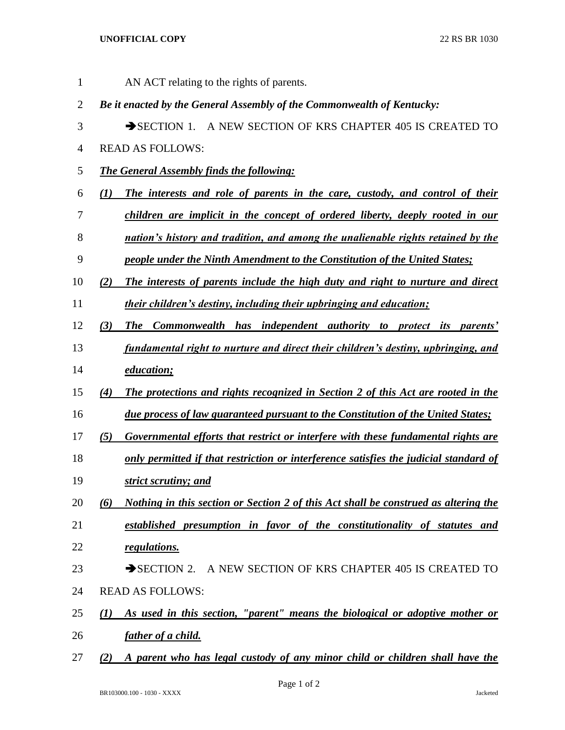## **UNOFFICIAL COPY** 22 RS BR 1030

 AN ACT relating to the rights of parents. *Be it enacted by the General Assembly of the Commonwealth of Kentucky:* 3 SECTION 1. A NEW SECTION OF KRS CHAPTER 405 IS CREATED TO READ AS FOLLOWS: *The General Assembly finds the following: (1) The interests and role of parents in the care, custody, and control of their children are implicit in the concept of ordered liberty, deeply rooted in our nation's history and tradition, and among the unalienable rights retained by the people under the Ninth Amendment to the Constitution of the United States; (2) The interests of parents include the high duty and right to nurture and direct their children's destiny, including their upbringing and education; (3) The Commonwealth has independent authority to protect its parents' fundamental right to nurture and direct their children's destiny, upbringing, and education; (4) The protections and rights recognized in Section 2 of this Act are rooted in the due process of law guaranteed pursuant to the Constitution of the United States; (5) Governmental efforts that restrict or interfere with these fundamental rights are only permitted if that restriction or interference satisfies the judicial standard of strict scrutiny; and (6) Nothing in this section or Section 2 of this Act shall be construed as altering the established presumption in favor of the constitutionality of statutes and regulations.* 23 SECTION 2. A NEW SECTION OF KRS CHAPTER 405 IS CREATED TO READ AS FOLLOWS: *(1) As used in this section, "parent" means the biological or adoptive mother or father of a child. (2) A parent who has legal custody of any minor child or children shall have the* 

Page 1 of 2